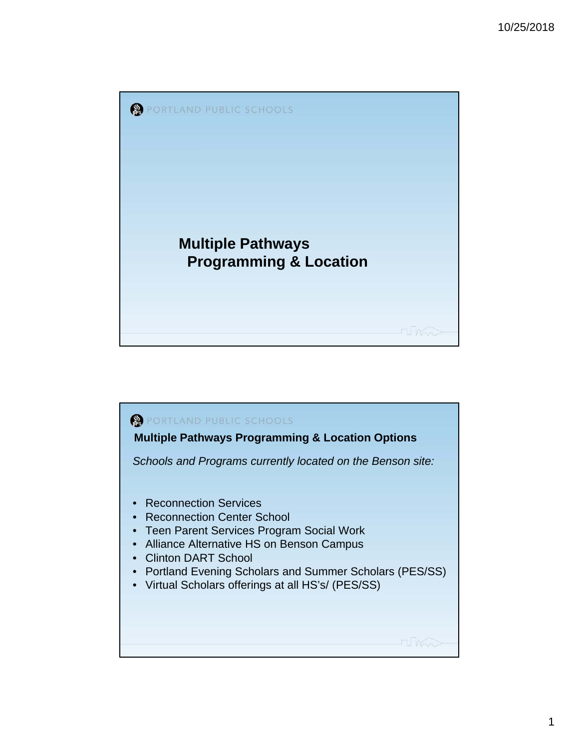

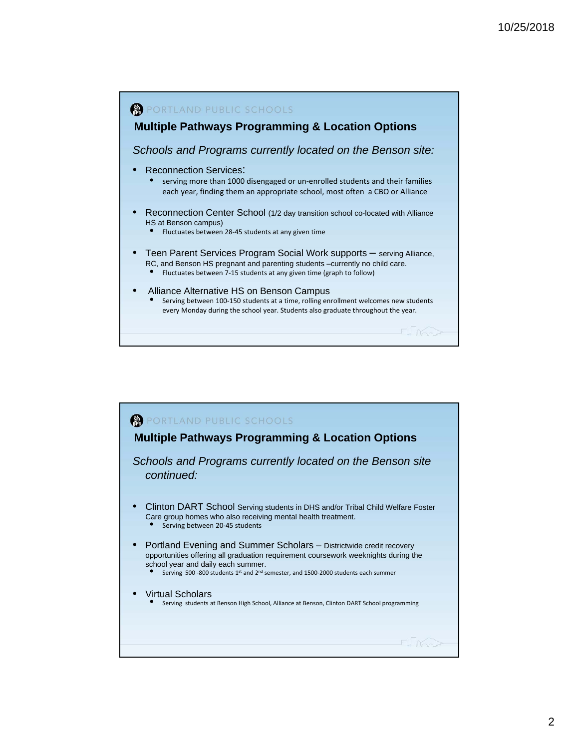

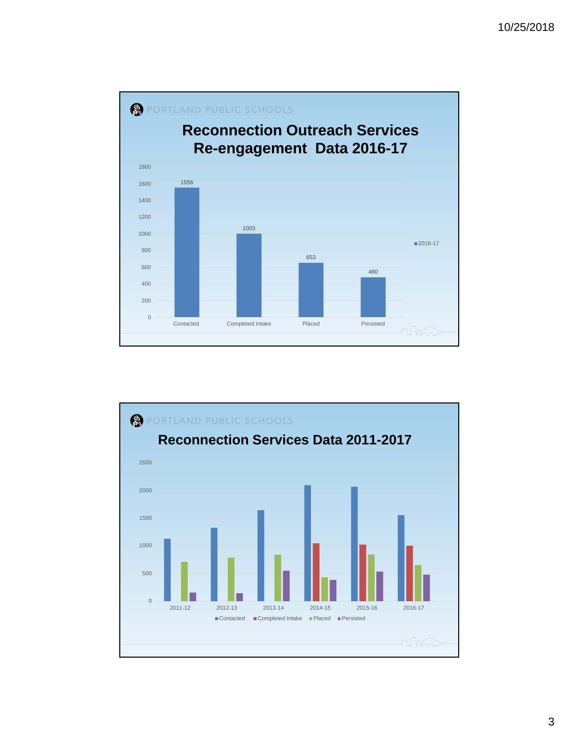

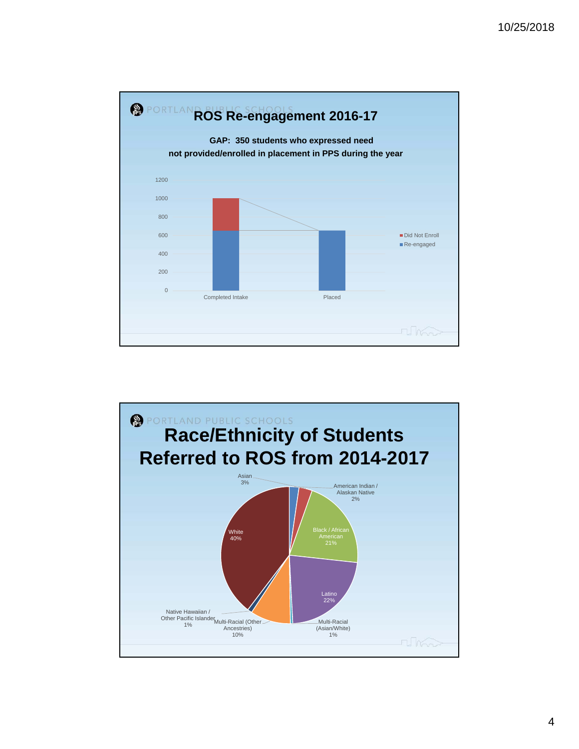

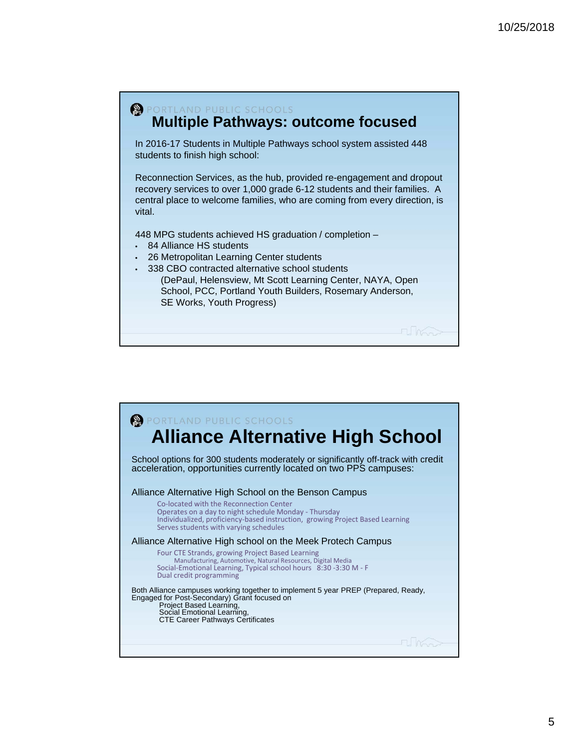

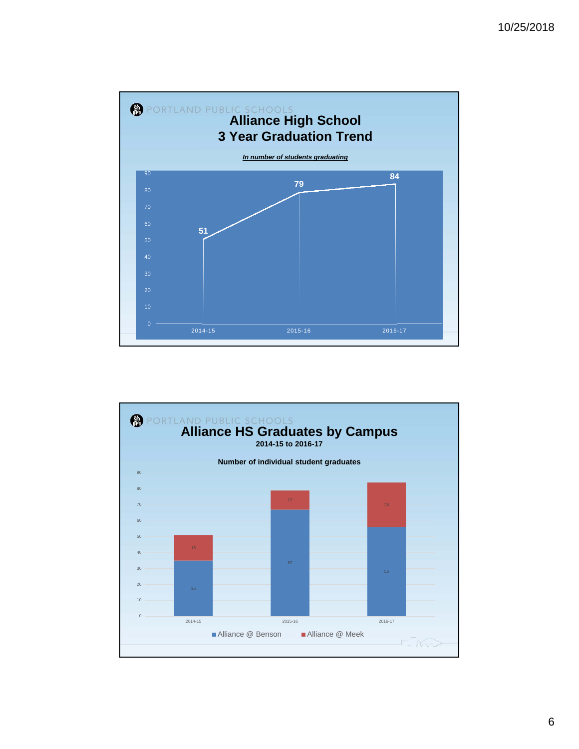

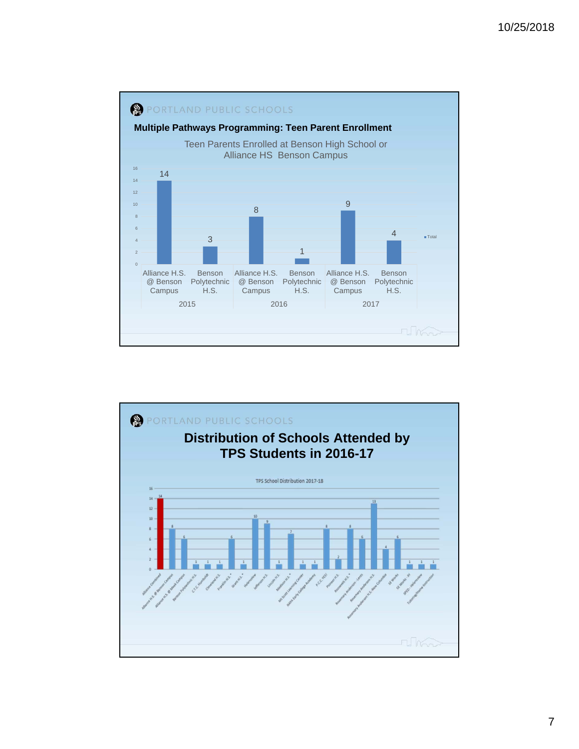

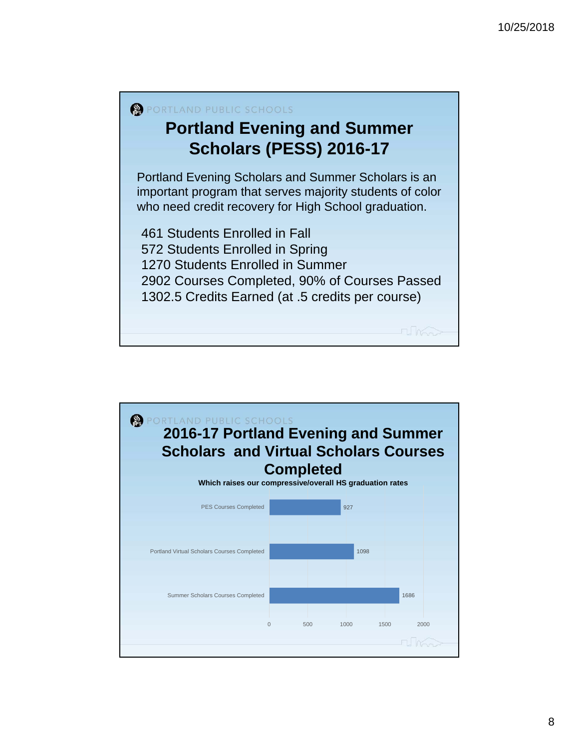

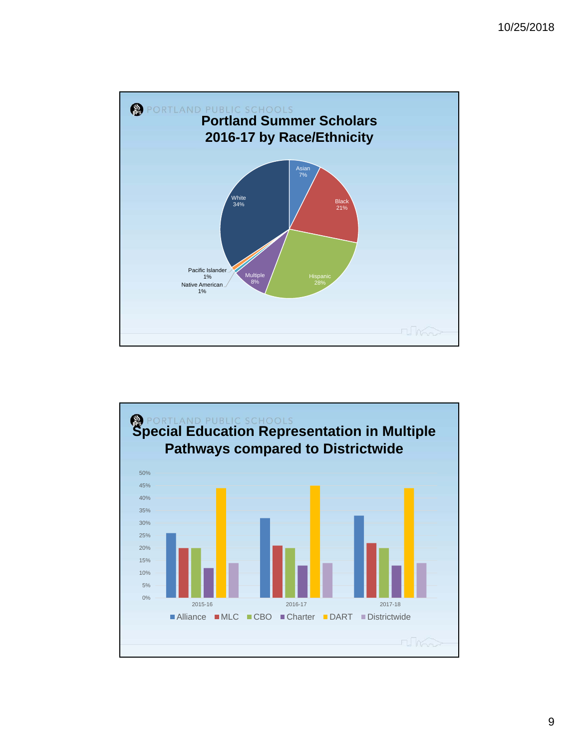